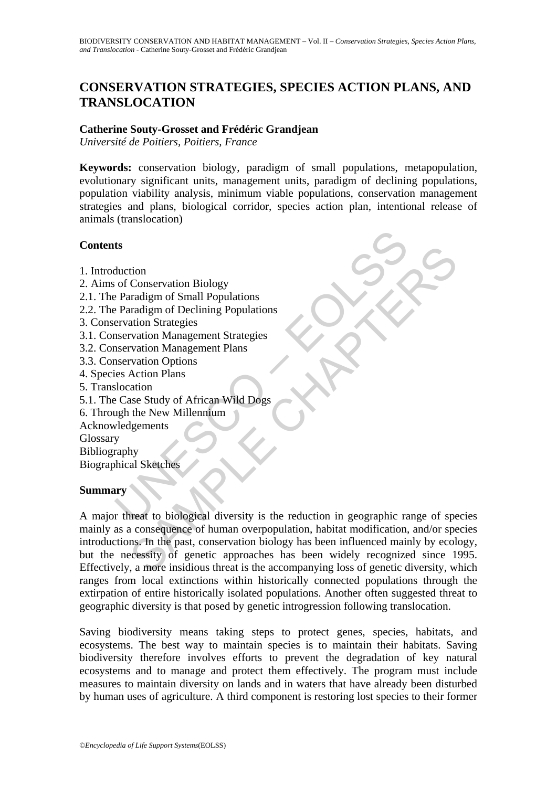# **CONSERVATION STRATEGIES, SPECIES ACTION PLANS, AND TRANSLOCATION**

## **Catherine Souty-Grosset and Frédéric Grandjean**

*Université de Poitiers, Poitiers, France*

**Keywords:** conservation biology, paradigm of small populations, metapopulation, evolutionary significant units, management units, paradigm of declining populations, population viability analysis, minimum viable populations, conservation management strategies and plans, biological corridor, species action plan, intentional release of animals (translocation)

## **Contents**

- 1. Introduction
- 2. Aims of Conservation Biology
- 2.1. The Paradigm of Small Populations
- 2.2. The Paradigm of Declining Populations
- 3. Conservation Strategies
- 3.1. Conservation Management Strategies
- 3.2. Conservation Management Plans
- 3.3. Conservation Options
- 4. Species Action Plans
- 5. Translocation
- 5.1. The Case Study of African Wild Dogs
- 6. Through the New Millennium
- Acknowledgements
- Glossary
- Bibliography

Biographical Sketches

### **Summary**

ts<br>
duction<br>
of Conservation Biology<br>
Paradigm of Small Populations<br>
Paradigm of Declining Populations<br>
ervation Management Strategies<br>
snervation Management Plans<br>
snervation Options<br>
ies Action Plans<br>
slocation<br>
Case Stu To<br>
Conservation Biology<br>
Tradigm of Small Populations<br>
Iradigm of Declining Populations<br>
attion Management Plans<br>
attion Management Plans<br>
Action Plans<br>
Action Plans<br>
Action Plans<br>
Action Plans<br>
Action Plans<br>
Action Plans A major threat to biological diversity is the reduction in geographic range of species mainly as a consequence of human overpopulation, habitat modification, and/or species introductions. In the past, conservation biology has been influenced mainly by ecology, but the necessity of genetic approaches has been widely recognized since 1995. Effectively, a more insidious threat is the accompanying loss of genetic diversity, which ranges from local extinctions within historically connected populations through the extirpation of entire historically isolated populations. Another often suggested threat to geographic diversity is that posed by genetic introgression following translocation.

Saving biodiversity means taking steps to protect genes, species, habitats, and ecosystems. The best way to maintain species is to maintain their habitats. Saving biodiversity therefore involves efforts to prevent the degradation of key natural ecosystems and to manage and protect them effectively. The program must include measures to maintain diversity on lands and in waters that have already been disturbed by human uses of agriculture. A third component is restoring lost species to their former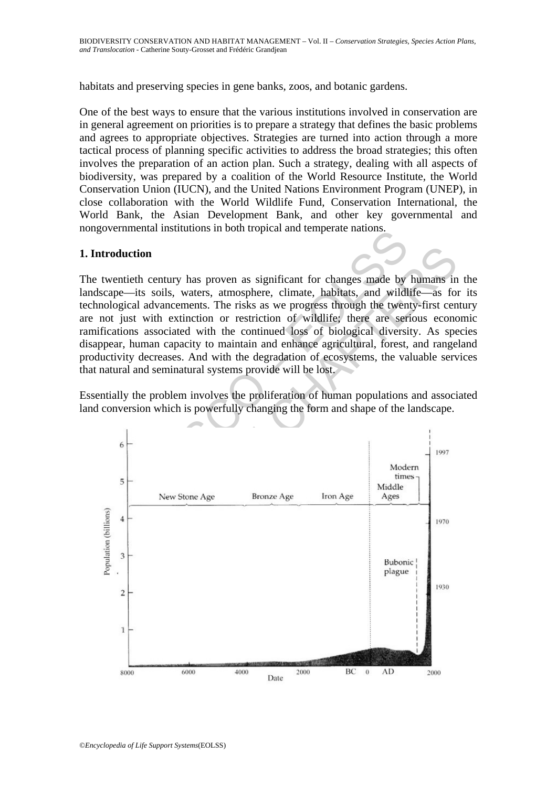habitats and preserving species in gene banks, zoos, and botanic gardens.

One of the best ways to ensure that the various institutions involved in conservation are in general agreement on priorities is to prepare a strategy that defines the basic problems and agrees to appropriate objectives. Strategies are turned into action through a more tactical process of planning specific activities to address the broad strategies; this often involves the preparation of an action plan. Such a strategy, dealing with all aspects of biodiversity, was prepared by a coalition of the World Resource Institute, the World Conservation Union (IUCN), and the United Nations Environment Program (UNEP), in close collaboration with the World Wildlife Fund, Conservation International, the World Bank, the Asian Development Bank, and other key governmental and nongovernmental institutions in both tropical and temperate nations.

## **1. Introduction**

The twentieth century has proven as significant for changes made by humans in the landscape—its soils, waters, atmosphere, climate, habitats, and wildlife—as for its technological advancements. The risks as we progress through the twenty-first century are not just with extinction or restriction of wildlife; there are serious economic ramifications associated with the continued loss of biological diversity. As species disappear, human capacity to maintain and enhance agricultural, forest, and rangeland productivity decreases. And with the degradation of ecosystems, the valuable services that natural and seminatural systems provide will be lost.

Essentially the problem involves the proliferation of human populations and associated land conversion which is powerfully changing the form and shape of the landscape.

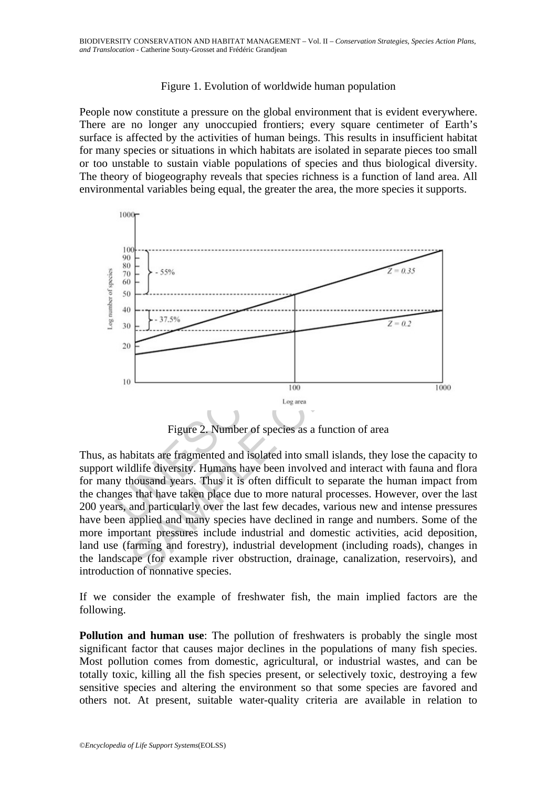## Figure 1. Evolution of worldwide human population

People now constitute a pressure on the global environment that is evident everywhere. There are no longer any unoccupied frontiers; every square centimeter of Earth's surface is affected by the activities of human beings. This results in insufficient habitat for many species or situations in which habitats are isolated in separate pieces too small or too unstable to sustain viable populations of species and thus biological diversity. The theory of biogeography reveals that species richness is a function of land area. All environmental variables being equal, the greater the area, the more species it supports.



Figure 2. Number of species as a function of area

Thus, as habitats are fragmented and isolated into small islands, they lose the capacity to support wildlife diversity. Humans have been involved and interact with fauna and flora for many thousand years. Thus it is often difficult to separate the human impact from the changes that have taken place due to more natural processes. However, over the last 200 years, and particularly over the last few decades, various new and intense pressures have been applied and many species have declined in range and numbers. Some of the more important pressures include industrial and domestic activities, acid deposition, land use (farming and forestry), industrial development (including roads), changes in the landscape (for example river obstruction, drainage, canalization, reservoirs), and introduction of nonnative species.

If we consider the example of freshwater fish, the main implied factors are the following.

**Pollution and human use**: The pollution of freshwaters is probably the single most significant factor that causes major declines in the populations of many fish species. Most pollution comes from domestic, agricultural, or industrial wastes, and can be totally toxic, killing all the fish species present, or selectively toxic, destroying a few sensitive species and altering the environment so that some species are favored and others not. At present, suitable water-quality criteria are available in relation to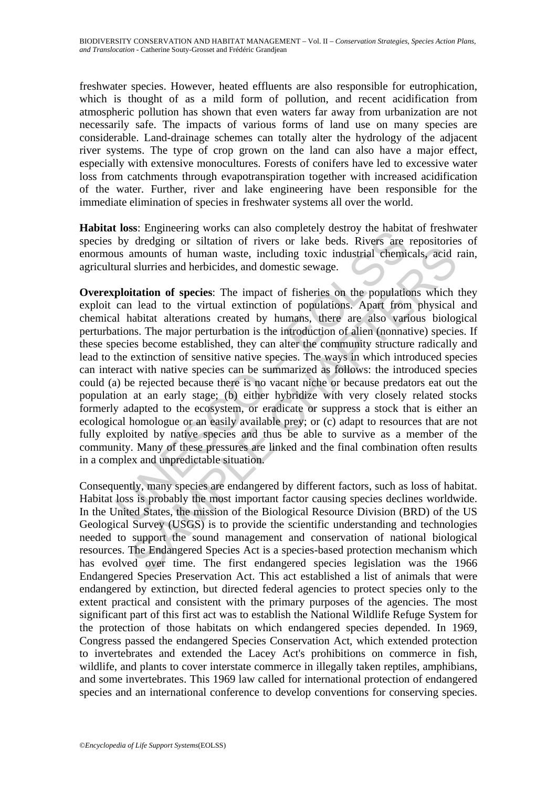freshwater species. However, heated effluents are also responsible for eutrophication, which is thought of as a mild form of pollution, and recent acidification from atmospheric pollution has shown that even waters far away from urbanization are not necessarily safe. The impacts of various forms of land use on many species are considerable. Land-drainage schemes can totally alter the hydrology of the adjacent river systems. The type of crop grown on the land can also have a major effect, especially with extensive monocultures. Forests of conifers have led to excessive water loss from catchments through evapotranspiration together with increased acidification of the water. Further, river and lake engineering have been responsible for the immediate elimination of species in freshwater systems all over the world.

**Habitat loss**: Engineering works can also completely destroy the habitat of freshwater species by dredging or siltation of rivers or lake beds. Rivers are repositories of enormous amounts of human waste, including toxic industrial chemicals, acid rain, agricultural slurries and herbicides, and domestic sewage.

To subset a may consider the model of the Biological Resource is lost of the Biological States, the map of the Biological Resource Division (Including to a sum ounts of human waste, including toxic industrial chemical surv abundant soft human waste, including toxic industrial chemicals, acid and surries and herbicides, and domestic sewage.<br> **Altation of species:** The impact of fisheries on the populations which a lead to the virtual extincti **Overexploitation of species**: The impact of fisheries on the populations which they exploit can lead to the virtual extinction of populations. Apart from physical and chemical habitat alterations created by humans, there are also various biological perturbations. The major perturbation is the introduction of alien (nonnative) species. If these species become established, they can alter the community structure radically and lead to the extinction of sensitive native species. The ways in which introduced species can interact with native species can be summarized as follows: the introduced species could (a) be rejected because there is no vacant niche or because predators eat out the population at an early stage; (b) either hybridize with very closely related stocks formerly adapted to the ecosystem, or eradicate or suppress a stock that is either an ecological homologue or an easily available prey; or (c) adapt to resources that are not fully exploited by native species and thus be able to survive as a member of the community. Many of these pressures are linked and the final combination often results in a complex and unpredictable situation.

Consequently, many species are endangered by different factors, such as loss of habitat. Habitat loss is probably the most important factor causing species declines worldwide. In the United States, the mission of the Biological Resource Division (BRD) of the US Geological Survey (USGS) is to provide the scientific understanding and technologies needed to support the sound management and conservation of national biological resources. The Endangered Species Act is a species-based protection mechanism which has evolved over time. The first endangered species legislation was the 1966 Endangered Species Preservation Act. This act established a list of animals that were endangered by extinction, but directed federal agencies to protect species only to the extent practical and consistent with the primary purposes of the agencies. The most significant part of this first act was to establish the National Wildlife Refuge System for the protection of those habitats on which endangered species depended. In 1969, Congress passed the endangered Species Conservation Act, which extended protection to invertebrates and extended the Lacey Act's prohibitions on commerce in fish, wildlife, and plants to cover interstate commerce in illegally taken reptiles, amphibians, and some invertebrates. This 1969 law called for international protection of endangered species and an international conference to develop conventions for conserving species.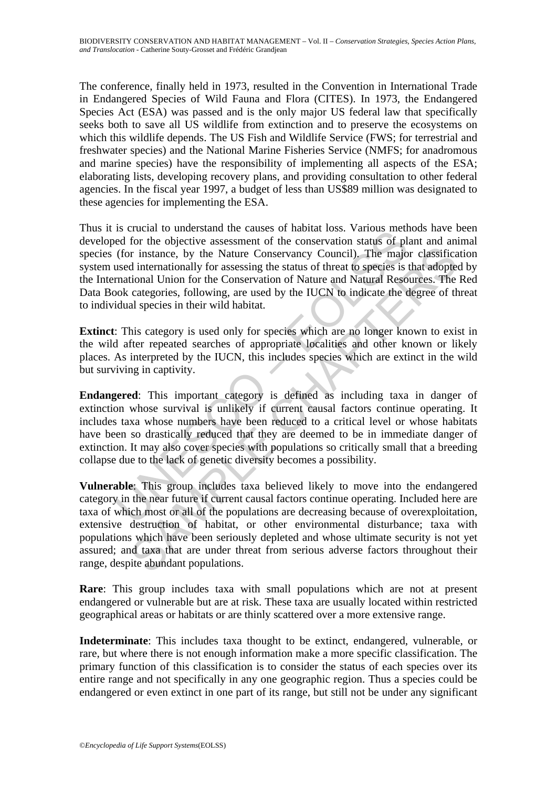The conference, finally held in 1973, resulted in the Convention in International Trade in Endangered Species of Wild Fauna and Flora (CITES). In 1973, the Endangered Species Act (ESA) was passed and is the only major US federal law that specifically seeks both to save all US wildlife from extinction and to preserve the ecosystems on which this wildlife depends. The US Fish and Wildlife Service (FWS; for terrestrial and freshwater species) and the National Marine Fisheries Service (NMFS; for anadromous and marine species) have the responsibility of implementing all aspects of the ESA; elaborating lists, developing recovery plans, and providing consultation to other federal agencies. In the fiscal year 1997, a budget of less than US\$89 million was designated to these agencies for implementing the ESA.

Is vuctor to unterstand the causes on landar loss. Various line<br>of for the objective assessment of the conservation status of pl<br>(for instance, by the Nature Conservation status of pl<br>(for instance, by the Nature Conservat Thus it is crucial to understand the causes of habitat loss. Various methods have been developed for the objective assessment of the conservation status of plant and animal species (for instance, by the Nature Conservancy Council). The major classification system used internationally for assessing the status of threat to species is that adopted by the International Union for the Conservation of Nature and Natural Resources. The Red Data Book categories, following, are used by the IUCN to indicate the degree of threat to individual species in their wild habitat.

**Extinct**: This category is used only for species which are no longer known to exist in the wild after repeated searches of appropriate localities and other known or likely places. As interpreted by the IUCN, this includes species which are extinct in the wild but surviving in captivity.

**Endangered**: This important category is defined as including taxa in danger of extinction whose survival is unlikely if current causal factors continue operating. It includes taxa whose numbers have been reduced to a critical level or whose habitats have been so drastically reduced that they are deemed to be in immediate danger of extinction. It may also cover species with populations so critically small that a breeding collapse due to the lack of genetic diversity becomes a possibility.

In the matter of habitat, or other environmental disturbance; that are not alternationally for assessing the status of threat to species is that adopted categories, following, are used by the IUCN to indicate the degree of **Vulnerable**: This group includes taxa believed likely to move into the endangered category in the near future if current causal factors continue operating. Included here are taxa of which most or all of the populations are decreasing because of overexploitation, extensive destruction of habitat, or other environmental disturbance; taxa with populations which have been seriously depleted and whose ultimate security is not yet assured; and taxa that are under threat from serious adverse factors throughout their range, despite abundant populations.

**Rare**: This group includes taxa with small populations which are not at present endangered or vulnerable but are at risk. These taxa are usually located within restricted geographical areas or habitats or are thinly scattered over a more extensive range.

**Indeterminate**: This includes taxa thought to be extinct, endangered, vulnerable, or rare, but where there is not enough information make a more specific classification. The primary function of this classification is to consider the status of each species over its entire range and not specifically in any one geographic region. Thus a species could be endangered or even extinct in one part of its range, but still not be under any significant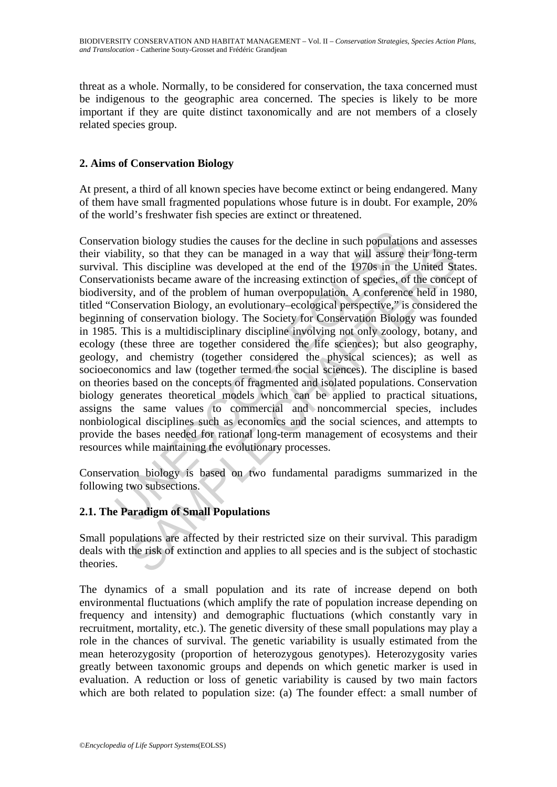threat as a whole. Normally, to be considered for conservation, the taxa concerned must be indigenous to the geographic area concerned. The species is likely to be more important if they are quite distinct taxonomically and are not members of a closely related species group.

## **2. Aims of Conservation Biology**

At present, a third of all known species have become extinct or being endangered. Many of them have small fragmented populations whose future is in doubt. For example, 20% of the world's freshwater fish species are extinct or threatened.

vation biology studies the causes for the decline in such populatio<br>ability, so that they can be managed in a way that will assure i.<br>This discipline was developed at the end of the 1970s in the<br>ationists became aware of t lity, so that they can be managed in a way that will assure their long-<br>his discipline was developed at the end of the 1970s in the United St<br>omiss became aware of the increasing extinction of species, of the concept<br>y, an Conservation biology studies the causes for the decline in such populations and assesses their viability, so that they can be managed in a way that will assure their long-term survival. This discipline was developed at the end of the 1970s in the United States. Conservationists became aware of the increasing extinction of species, of the concept of biodiversity, and of the problem of human overpopulation. A conference held in 1980, titled "Conservation Biology, an evolutionary–ecological perspective," is considered the beginning of conservation biology. The Society for Conservation Biology was founded in 1985. This is a multidisciplinary discipline involving not only zoology, botany, and ecology (these three are together considered the life sciences); but also geography, geology, and chemistry (together considered the physical sciences); as well as socioeconomics and law (together termed the social sciences). The discipline is based on theories based on the concepts of fragmented and isolated populations. Conservation biology generates theoretical models which can be applied to practical situations, assigns the same values to commercial and noncommercial species, includes nonbiological disciplines such as economics and the social sciences, and attempts to provide the bases needed for rational long-term management of ecosystems and their resources while maintaining the evolutionary processes.

Conservation biology is based on two fundamental paradigms summarized in the following two subsections.

## **2.1. The Paradigm of Small Populations**

Small populations are affected by their restricted size on their survival. This paradigm deals with the risk of extinction and applies to all species and is the subject of stochastic theories.

The dynamics of a small population and its rate of increase depend on both environmental fluctuations (which amplify the rate of population increase depending on frequency and intensity) and demographic fluctuations (which constantly vary in recruitment, mortality, etc.). The genetic diversity of these small populations may play a role in the chances of survival. The genetic variability is usually estimated from the mean heterozygosity (proportion of heterozygous genotypes). Heterozygosity varies greatly between taxonomic groups and depends on which genetic marker is used in evaluation. A reduction or loss of genetic variability is caused by two main factors which are both related to population size: (a) The founder effect: a small number of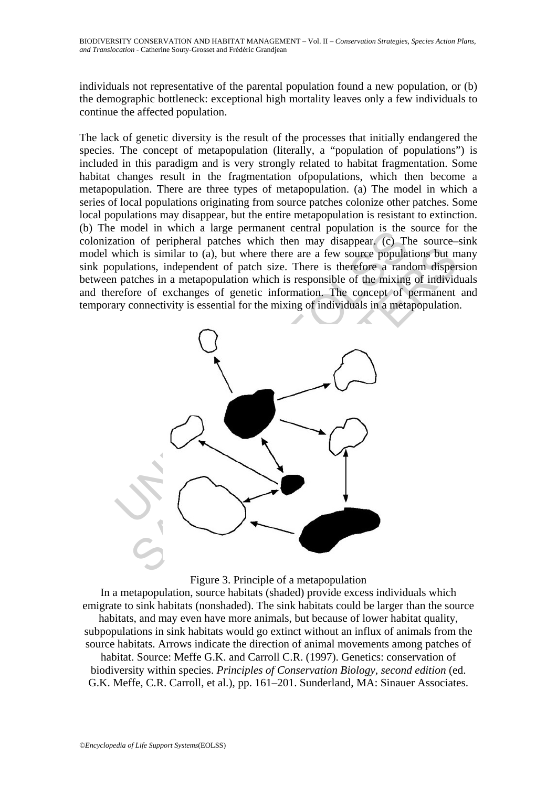individuals not representative of the parental population found a new population, or (b) the demographic bottleneck: exceptional high mortality leaves only a few individuals to continue the affected population.

The lack of genetic diversity is the result of the processes that initially endangered the species. The concept of metapopulation (literally, a "population of populations") is included in this paradigm and is very strongly related to habitat fragmentation. Some habitat changes result in the fragmentation ofpopulations, which then become a metapopulation. There are three types of metapopulation. (a) The model in which a series of local populations originating from source patches colonize other patches. Some local populations may disappear, but the entire metapopulation is resistant to extinction. (b) The model in which a large permanent central population is the source for the colonization of peripheral patches which then may disappear. (c) The source–sink model which is similar to (a), but where there are a few source populations but many sink populations, independent of patch size. There is therefore a random dispersion between patches in a metapopulation which is responsible of the mixing of individuals and therefore of exchanges of genetic information. The concept of permanent and temporary connectivity is essential for the mixing of individuals in a metapopulation.





In a metapopulation, source habitats (shaded) provide excess individuals which emigrate to sink habitats (nonshaded). The sink habitats could be larger than the source habitats, and may even have more animals, but because of lower habitat quality, subpopulations in sink habitats would go extinct without an influx of animals from the source habitats. Arrows indicate the direction of animal movements among patches of habitat. Source: Meffe G.K. and Carroll C.R. (1997). Genetics: conservation of biodiversity within species. *Principles of Conservation Biology, second edition* (ed. G.K. Meffe, C.R. Carroll, et al.), pp. 161–201. Sunderland, MA: Sinauer Associates.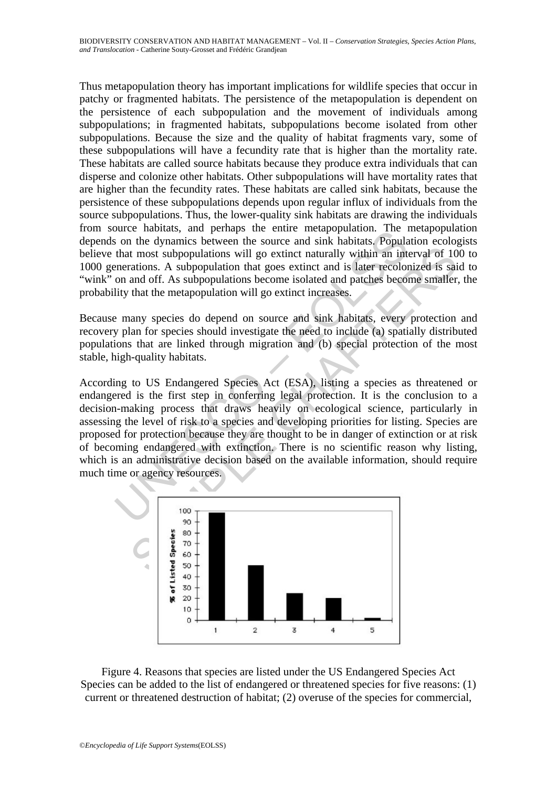Thus metapopulation theory has important implications for wildlife species that occur in patchy or fragmented habitats. The persistence of the metapopulation is dependent on the persistence of each subpopulation and the movement of individuals among subpopulations; in fragmented habitats, subpopulations become isolated from other subpopulations. Because the size and the quality of habitat fragments vary, some of these subpopulations will have a fecundity rate that is higher than the mortality rate. These habitats are called source habitats because they produce extra individuals that can disperse and colonize other habitats. Other subpopulations will have mortality rates that are higher than the fecundity rates. These habitats are called sink habitats, because the persistence of these subpopulations depends upon regular influx of individuals from the source subpopulations. Thus, the lower-quality sink habitats are drawing the individuals from source habitats, and perhaps the entire metapopulation. The metapopulation depends on the dynamics between the source and sink habitats. Population ecologists believe that most subpopulations will go extinct naturally within an interval of 100 to 1000 generations. A subpopulation that goes extinct and is later recolonized is said to "wink" on and off. As subpopulations become isolated and patches become smaller, the probability that the metapopulation will go extinct increases.

Because many species do depend on source and sink habitats, every protection and recovery plan for species should investigate the need to include (a) spatially distributed populations that are linked through migration and (b) special protection of the most stable, high-quality habitats.

oute inantas, and pentalys une entire metapopulation. The rest of the dynamics between the source and sink habitats. Populations will go extinct naturally within an intenerations. A subpopulations will go extinct naturally the most subpopulations will go extinct naturally within an interval of 10<br>throst subpopulations will go extinct naturally within an interval of 10<br>rations. A subpopulation that goes extinct and is later recolonized is sa According to US Endangered Species Act (ESA), listing a species as threatened or endangered is the first step in conferring legal protection. It is the conclusion to a decision-making process that draws heavily on ecological science, particularly in assessing the level of risk to a species and developing priorities for listing. Species are proposed for protection because they are thought to be in danger of extinction or at risk of becoming endangered with extinction. There is no scientific reason why listing, which is an administrative decision based on the available information, should require much time or agency resources.



Figure 4. Reasons that species are listed under the US Endangered Species Act Species can be added to the list of endangered or threatened species for five reasons: (1) current or threatened destruction of habitat; (2) overuse of the species for commercial,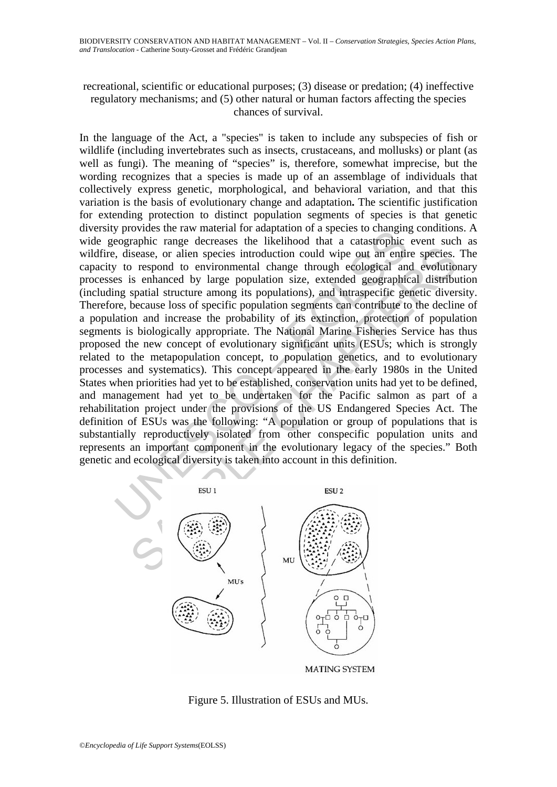## recreational, scientific or educational purposes; (3) disease or predation; (4) ineffective regulatory mechanisms; and (5) other natural or human factors affecting the species chances of survival.

From the raw intertial for diagramic rate and apple to changing the range decreases to the likelihood that a catastrophic congraphic range decreases the likelihood that a catastrophic congraphic set is enhanced by large po Sisease, or alien species introduction could wipe out an entire species.<br>
Sisease, or alien species introduction could wipe out an entire species.<br>
Sisease, or alien special charge traveluation size, extended geographical In the language of the Act, a "species" is taken to include any subspecies of fish or wildlife (including invertebrates such as insects, crustaceans, and mollusks) or plant (as well as fungi). The meaning of "species" is, therefore, somewhat imprecise, but the wording recognizes that a species is made up of an assemblage of individuals that collectively express genetic, morphological, and behavioral variation, and that this variation is the basis of evolutionary change and adaptation**.** The scientific justification for extending protection to distinct population segments of species is that genetic diversity provides the raw material for adaptation of a species to changing conditions. A wide geographic range decreases the likelihood that a catastrophic event such as wildfire, disease, or alien species introduction could wipe out an entire species. The capacity to respond to environmental change through ecological and evolutionary processes is enhanced by large population size, extended geographical distribution (including spatial structure among its populations), and intraspecific genetic diversity. Therefore, because loss of specific population segments can contribute to the decline of a population and increase the probability of its extinction, protection of population segments is biologically appropriate. The National Marine Fisheries Service has thus proposed the new concept of evolutionary significant units (ESUs; which is strongly related to the metapopulation concept, to population genetics, and to evolutionary processes and systematics). This concept appeared in the early 1980s in the United States when priorities had yet to be established, conservation units had yet to be defined, and management had yet to be undertaken for the Pacific salmon as part of a rehabilitation project under the provisions of the US Endangered Species Act. The definition of ESUs was the following: "A population or group of populations that is substantially reproductively isolated from other conspecific population units and represents an important component in the evolutionary legacy of the species." Both genetic and ecological diversity is taken into account in this definition.



Figure 5. Illustration of ESUs and MUs.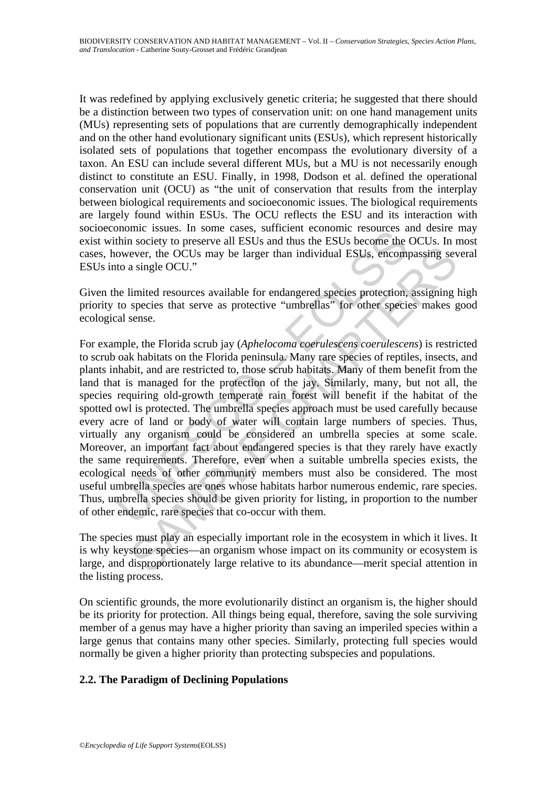It was redefined by applying exclusively genetic criteria; he suggested that there should be a distinction between two types of conservation unit: on one hand management units (MUs) representing sets of populations that are currently demographically independent and on the other hand evolutionary significant units (ESUs), which represent historically isolated sets of populations that together encompass the evolutionary diversity of a taxon. An ESU can include several different MUs, but a MU is not necessarily enough distinct to constitute an ESU. Finally, in 1998, Dodson et al. defined the operational conservation unit (OCU) as "the unit of conservation that results from the interplay between biological requirements and socioeconomic issues. The biological requirements are largely found within ESUs. The OCU reflects the ESU and its interaction with socioeconomic issues. In some cases, sufficient economic resources and desire may exist within society to preserve all ESUs and thus the ESUs become the OCUs. In most cases, however, the OCUs may be larger than individual ESUs, encompassing several ESUs into a single OCU."

Given the limited resources available for endangered species protection, assigning high priority to species that serve as protective "umbrellas" for other species makes good ecological sense.

mommer issues. In some cases, surrice to the BSUs becomes a<br>thin society to preserve all ESUs and thus the ESUs becomes the<br>towever, the OCUs may be larger than individual ESUs, encompre<br>however, the OCUs may be larger tha ever, the OCUs may be larger than individual ESUs, encompassing sev<br>ever, the OCUs may be larger than individual ESUs, encompassing sev<br>a single OCU."<br>Ilmited resources available for endangered species protection, assignin For example, the Florida scrub jay (*Aphelocoma coerulescens coerulescens*) is restricted to scrub oak habitats on the Florida peninsula. Many rare species of reptiles, insects, and plants inhabit, and are restricted to, those scrub habitats. Many of them benefit from the land that is managed for the protection of the jay. Similarly, many, but not all, the species requiring old-growth temperate rain forest will benefit if the habitat of the spotted owl is protected. The umbrella species approach must be used carefully because every acre of land or body of water will contain large numbers of species. Thus, virtually any organism could be considered an umbrella species at some scale. Moreover, an important fact about endangered species is that they rarely have exactly the same requirements. Therefore, even when a suitable umbrella species exists, the ecological needs of other community members must also be considered. The most useful umbrella species are ones whose habitats harbor numerous endemic, rare species. Thus, umbrella species should be given priority for listing, in proportion to the number of other endemic, rare species that co-occur with them.

The species must play an especially important role in the ecosystem in which it lives. It is why keystone species—an organism whose impact on its community or ecosystem is large, and disproportionately large relative to its abundance—merit special attention in the listing process.

On scientific grounds, the more evolutionarily distinct an organism is, the higher should be its priority for protection. All things being equal, therefore, saving the sole surviving member of a genus may have a higher priority than saving an imperiled species within a large genus that contains many other species. Similarly, protecting full species would normally be given a higher priority than protecting subspecies and populations.

## **2.2. The Paradigm of Declining Populations**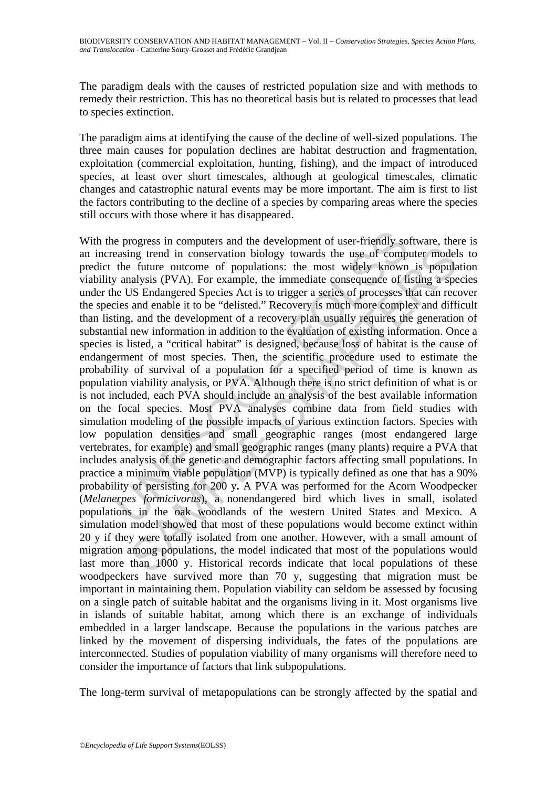The paradigm deals with the causes of restricted population size and with methods to remedy their restriction. This has no theoretical basis but is related to processes that lead to species extinction.

The paradigm aims at identifying the cause of the decline of well-sized populations. The three main causes for population declines are habitat destruction and fragmentation, exploitation (commercial exploitation, hunting, fishing), and the impact of introduced species, at least over short timescales, although at geological timescales, climatic changes and catastrophic natural events may be more important. The aim is first to list the factors contributing to the decline of a species by comparing areas where the species still occurs with those where it has disappeared.

e progress in computers and the development of user-friendly so<br>easing trend in conservation biology towards the use of comp<br>the future outcome of populations: the most widely known<br>7 analysis (PVA). For example, the immed ing trend in conservation biology towards the use of computer model<br>a future outcome of populations: the most widely known is populations<br>alusty (PVA). For example, the immediate consequence of listing a special<br>JS Endange With the progress in computers and the development of user-friendly software, there is an increasing trend in conservation biology towards the use of computer models to predict the future outcome of populations: the most widely known is population viability analysis (PVA). For example, the immediate consequence of listing a species under the US Endangered Species Act is to trigger a series of processes that can recover the species and enable it to be "delisted." Recovery is much more complex and difficult than listing, and the development of a recovery plan usually requires the generation of substantial new information in addition to the evaluation of existing information. Once a species is listed, a "critical habitat" is designed, because loss of habitat is the cause of endangerment of most species. Then, the scientific procedure used to estimate the probability of survival of a population for a specified period of time is known as population viability analysis, or PVA. Although there is no strict definition of what is or is not included, each PVA should include an analysis of the best available information on the focal species. Most PVA analyses combine data from field studies with simulation modeling of the possible impacts of various extinction factors. Species with low population densities and small geographic ranges (most endangered large vertebrates, for example) and small geographic ranges (many plants) require a PVA that includes analysis of the genetic and demographic factors affecting small populations. In practice a minimum viable population (MVP) is typically defined as one that has a 90% probability of persisting for 200 y**.** A PVA was performed for the Acorn Woodpecker (*Melanerpes formicivorus*), a nonendangered bird which lives in small, isolated populations in the oak woodlands of the western United States and Mexico. A simulation model showed that most of these populations would become extinct within 20 y if they were totally isolated from one another. However, with a small amount of migration among populations, the model indicated that most of the populations would last more than 1000 y. Historical records indicate that local populations of these woodpeckers have survived more than 70 y, suggesting that migration must be important in maintaining them. Population viability can seldom be assessed by focusing on a single patch of suitable habitat and the organisms living in it. Most organisms live in islands of suitable habitat, among which there is an exchange of individuals embedded in a larger landscape. Because the populations in the various patches are linked by the movement of dispersing individuals, the fates of the populations are interconnected. Studies of population viability of many organisms will therefore need to consider the importance of factors that link subpopulations.

The long-term survival of metapopulations can be strongly affected by the spatial and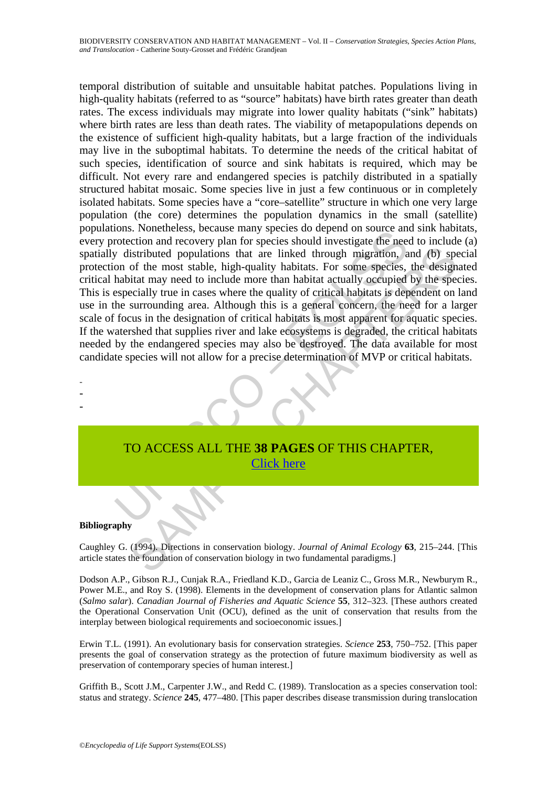Ions. Noncertess, because many spectes do depend on source am<br>order to matter and recovery plan for species should investigate the nee<br>order of the most stable, high-quality habitats. For some species,<br>habitat may need to istributed populations that are linked through migration, and (b) spot the most stable, high-quality habitats. For some species, the design<br>of the most stable, high-quality habitats. For some species, the design<br>inta may n temporal distribution of suitable and unsuitable habitat patches. Populations living in high-quality habitats (referred to as "source" habitats) have birth rates greater than death rates. The excess individuals may migrate into lower quality habitats ("sink" habitats) where birth rates are less than death rates. The viability of metapopulations depends on the existence of sufficient high-quality habitats, but a large fraction of the individuals may live in the suboptimal habitats. To determine the needs of the critical habitat of such species, identification of source and sink habitats is required, which may be difficult. Not every rare and endangered species is patchily distributed in a spatially structured habitat mosaic. Some species live in just a few continuous or in completely isolated habitats. Some species have a "core–satellite" structure in which one very large population (the core) determines the population dynamics in the small (satellite) populations. Nonetheless, because many species do depend on source and sink habitats, every protection and recovery plan for species should investigate the need to include (a) spatially distributed populations that are linked through migration, and (b) special protection of the most stable, high-quality habitats. For some species, the designated critical habitat may need to include more than habitat actually occupied by the species. This is especially true in cases where the quality of critical habitats is dependent on land use in the surrounding area. Although this is a general concern, the need for a larger scale of focus in the designation of critical habitats is most apparent for aquatic species. If the watershed that supplies river and lake ecosystems is degraded, the critical habitats needed by the endangered species may also be destroyed. The data available for most candidate species will not allow for a precise determination of MVP or critical habitats.

**Bibliography** 

- - -

Caughley G. (1994). Directions in conservation biology. *Journal of Animal Ecology* **63**, 215–244. [This article states the foundation of conservation biology in two fundamental paradigms.]

TO ACCESS ALL THE **38 PAGES** OF THIS CHAPTER, Click here

Dodson A.P., Gibson R.J., Cunjak R.A., Friedland K.D., Garcia de Leaniz C., Gross M.R., Newburym R., Power M.E., and Roy S. (1998). Elements in the development of conservation plans for Atlantic salmon (*Salmo salar*). *Canadian Journal of Fisheries and Aquatic Science* **55**, 312–323. [These authors created the Operational Conservation Unit (OCU), defined as the unit of conservation that results from the interplay between biological requirements and socioeconomic issues.]

Erwin T.L. (1991). An evolutionary basis for conservation strategies. *Science* **253**, 750–752. [This paper presents the goal of conservation strategy as the protection of future maximum biodiversity as well as preservation of contemporary species of human interest.]

Griffith B., Scott J.M., Carpenter J.W., and Redd C. (1989). Translocation as a species conservation tool: status and strategy. *Science* **245**, 477–480. [This paper describes disease transmission during translocation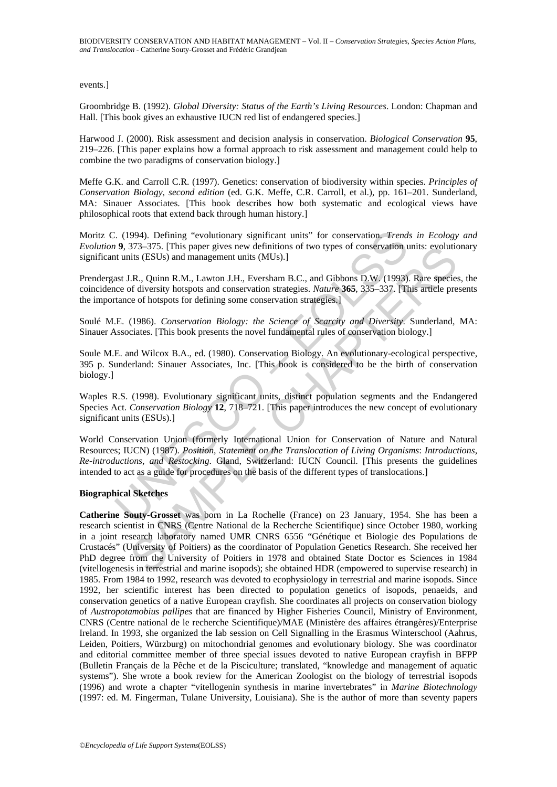events.]

Groombridge B. (1992). *Global Diversity: Status of the Earth's Living Resources*. London: Chapman and Hall. [This book gives an exhaustive IUCN red list of endangered species.]

Harwood J. (2000). Risk assessment and decision analysis in conservation. *Biological Conservation* **95**, 219–226. [This paper explains how a formal approach to risk assessment and management could help to combine the two paradigms of conservation biology.]

Meffe G.K. and Carroll C.R. (1997). Genetics: conservation of biodiversity within species. *Principles of Conservation Biology, second edition* (ed. G.K. Meffe, C.R. Carroll, et al.), pp. 161–201. Sunderland, MA: Sinauer Associates. [This book describes how both systematic and ecological views have philosophical roots that extend back through human history.]

Moritz C. (1994). Defining "evolutionary significant units" for conservation. *Trends in Ecology and Evolution* **9**, 373–375. [This paper gives new definitions of two types of conservation units: evolutionary significant units (ESUs) and management units (MUs).]

Prendergast J.R., Quinn R.M., Lawton J.H., Eversham B.C., and Gibbons D.W. (1993). Rare species, the coincidence of diversity hotspots and conservation strategies. *Nature* **365**, 335–337. [This article presents the importance of hotspots for defining some conservation strategies.]

Soulé M.E. (1986). *Conservation Biology: the Science of Scarcity and Diversity*. Sunderland, MA: Sinauer Associates. [This book presents the novel fundamental rules of conservation biology.]

Soule M.E. and Wilcox B.A., ed. (1980). Conservation Biology. An evolutionary-ecological perspective, 395 p. Sunderland: Sinauer Associates, Inc. [This book is considered to be the birth of conservation biology.]

Waples R.S. (1998). Evolutionary significant units, distinct population segments and the Endangered Species Act. *Conservation Biology* **12**, 718–721. [This paper introduces the new concept of evolutionary significant units (ESUs).]

C. (1994). Defining "evolutionary significant units" for conservation, *Trend.* 9, 373–375. [This paper gives new definitions of two types of conservation tunits (ESUs) and management units (MUs).]<br>
and I.R., Quinn R.M., World Conservation Union (formerly International Union for Conservation of Nature and Natural Resources; IUCN) (1987). *Position, Statement on the Translocation of Living Organisms*: *Introductions, Re-introductions, and Restocking*. Gland, Switzerland: IUCN Council. [This presents the guidelines intended to act as a guide for procedures on the basis of the different types of translocations.]

#### **Biographical Sketches**

3/3-3/3). [This paper gives new delimitions of two types of conservation units: evolutions (Its paper gives new delimitions of two types of conservation units: evolutions (I.R., Quinn R.M., Lawton J.H., Eversham B.C., and **Catherine Souty-Grosset** was born in La Rochelle (France) on 23 January, 1954. She has been a research scientist in CNRS (Centre National de la Recherche Scientifique) since October 1980, working in a joint research laboratory named UMR CNRS 6556 "Génétique et Biologie des Populations de Crustacés" (University of Poitiers) as the coordinator of Population Genetics Research. She received her PhD degree from the University of Poitiers in 1978 and obtained State Doctor es Sciences in 1984 (vitellogenesis in terrestrial and marine isopods); she obtained HDR (empowered to supervise research) in 1985. From 1984 to 1992, research was devoted to ecophysiology in terrestrial and marine isopods. Since 1992, her scientific interest has been directed to population genetics of isopods, penaeids, and conservation genetics of a native European crayfish. She coordinates all projects on conservation biology of *Austropotamobius pallipes* that are financed by Higher Fisheries Council, Ministry of Environment, CNRS (Centre national de le recherche Scientifique)/MAE (Ministère des affaires étrangères)/Enterprise Ireland. In 1993, she organized the lab session on Cell Signalling in the Erasmus Winterschool (Aahrus, Leiden, Poitiers, Würzburg) on mitochondrial genomes and evolutionary biology. She was coordinator and editorial committee member of three special issues devoted to native European crayfish in BFPP (Bulletin Français de la Pêche et de la Pisciculture; translated, "knowledge and management of aquatic systems"). She wrote a book review for the American Zoologist on the biology of terrestrial isopods (1996) and wrote a chapter "vitellogenin synthesis in marine invertebrates" in *Marine Biotechnology* (1997: ed. M. Fingerman, Tulane University, Louisiana). She is the author of more than seventy papers